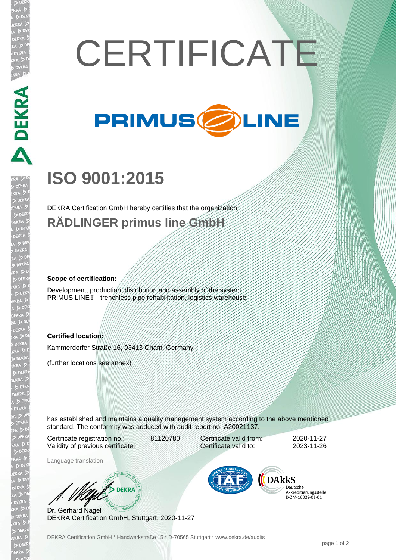# **CERTIFICATE**



## **ISO 9001:2015**

DEKRA Certification GmbH hereby certifies that the organization **RÄDLINGER primus line GmbH**

#### **Scope of certification:**

**DEKRA** 

Development, production, distribution and assembly of the system PRIMUS LINE® - trenchless pipe rehabilitation, logistics warehouse

#### **Certified location:**

Kammerdorfer Straße 16, 93413 Cham, Germany

(further locations see annex)

has established and maintains a quality management system according to the above mentioned standard. The conformity was adduced with audit report no. A20021137.

Certificate registration no.: 81120780 Validity of previous certificate:

Language translation

Certificate valid from: 2020-11-27 Certificate valid to: 2023-11-26

**DARKS** 

Deutsche Akkreditierungsstelle 

Dr. Gerhard Nagel DEKRA Certification GmbH, Stuttgart, 2020-11-27

W/ DEKRA